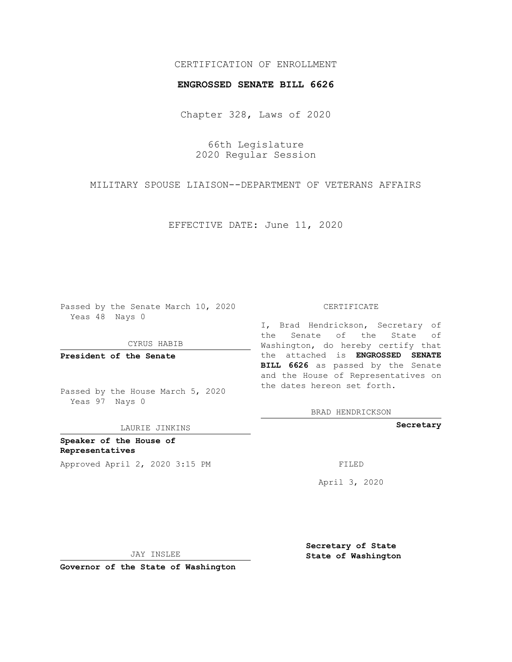## CERTIFICATION OF ENROLLMENT

### **ENGROSSED SENATE BILL 6626**

Chapter 328, Laws of 2020

66th Legislature 2020 Regular Session

MILITARY SPOUSE LIAISON--DEPARTMENT OF VETERANS AFFAIRS

EFFECTIVE DATE: June 11, 2020

Passed by the Senate March 10, 2020 Yeas 48 Nays 0

CYRUS HABIB

**President of the Senate**

Passed by the House March 5, 2020 Yeas 97 Nays 0

LAURIE JINKINS

**Speaker of the House of Representatives** Approved April 2, 2020 3:15 PM

#### CERTIFICATE

I, Brad Hendrickson, Secretary of the Senate of the State of Washington, do hereby certify that the attached is **ENGROSSED SENATE BILL 6626** as passed by the Senate and the House of Representatives on the dates hereon set forth.

BRAD HENDRICKSON

**Secretary**

April 3, 2020

JAY INSLEE

**Governor of the State of Washington**

**Secretary of State State of Washington**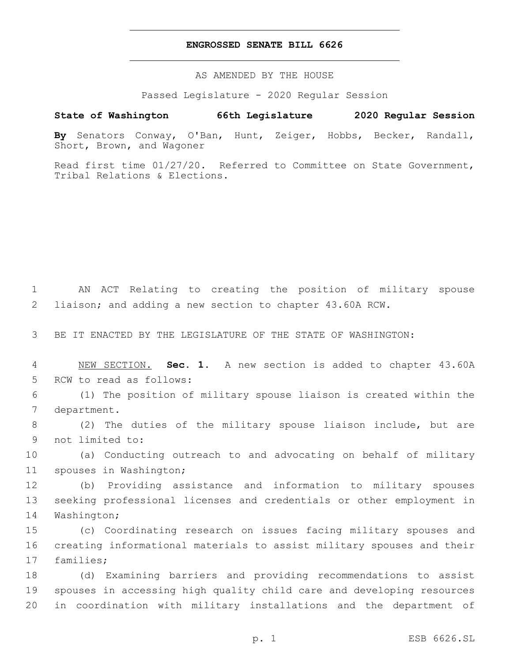### **ENGROSSED SENATE BILL 6626**

AS AMENDED BY THE HOUSE

Passed Legislature - 2020 Regular Session

# **State of Washington 66th Legislature 2020 Regular Session**

**By** Senators Conway, O'Ban, Hunt, Zeiger, Hobbs, Becker, Randall, Short, Brown, and Wagoner

Read first time 01/27/20. Referred to Committee on State Government, Tribal Relations & Elections.

1 AN ACT Relating to creating the position of military spouse 2 liaison; and adding a new section to chapter 43.60A RCW.

3 BE IT ENACTED BY THE LEGISLATURE OF THE STATE OF WASHINGTON:

4 NEW SECTION. **Sec. 1.** A new section is added to chapter 43.60A 5 RCW to read as follows:

6 (1) The position of military spouse liaison is created within the 7 department.

8 (2) The duties of the military spouse liaison include, but are 9 not limited to:

10 (a) Conducting outreach to and advocating on behalf of military 11 spouses in Washington;

12 (b) Providing assistance and information to military spouses 13 seeking professional licenses and credentials or other employment in 14 Washington;

15 (c) Coordinating research on issues facing military spouses and 16 creating informational materials to assist military spouses and their 17 families;

18 (d) Examining barriers and providing recommendations to assist 19 spouses in accessing high quality child care and developing resources 20 in coordination with military installations and the department of